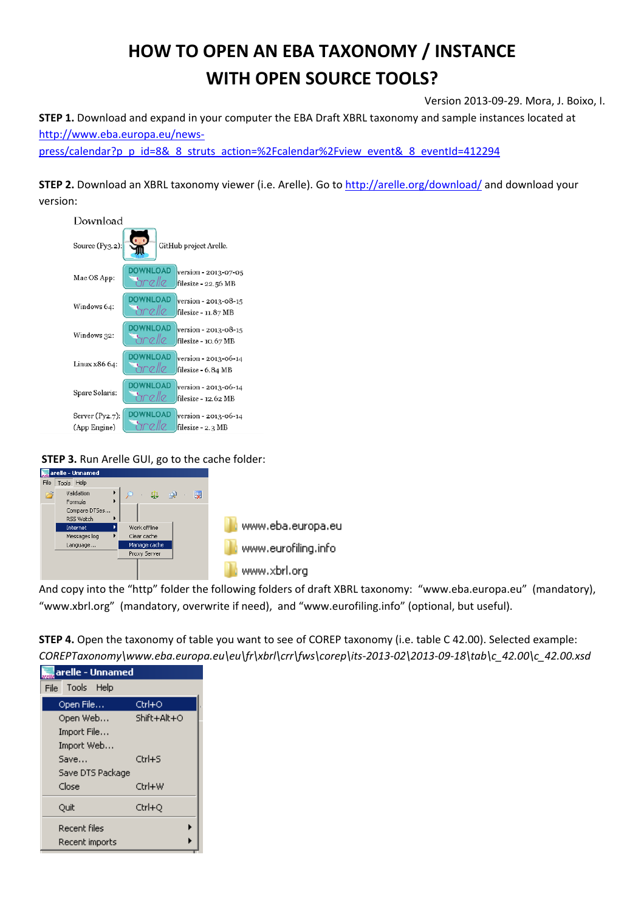# **HOW TO OPEN AN EBA TAXONOMY / INSTANCE WITH OPEN SOURCE TOOLS?**

Version 2013‐09‐29. Mora, J. Boixo, I.

**STEP 1.** Download and expand in your computer the EBA Draft XBRL taxonomy and sample instances located at http://www.eba.europa.eu/news‐

press/calendar?p\_p\_id=8&\_8\_struts\_action=%2Fcalendar%2Fview\_event&\_8\_eventId=412294

**STEP 2.** Download an XBRL taxonomy viewer (i.e. Arelle). Go to http://arelle.org/download/ and download your version:



**STEP 3.** Run Arelle GUI, go to the cache folder:



And copy into the "http" folder the following folders of draft XBRL taxonomy: "www.eba.europa.eu" (mandatory), "www.xbrl.org" (mandatory, overwrite if need), and "www.eurofiling.info" (optional, but useful).

| <b>STEP 4.</b> Open the taxonomy of table you want to see of COREP taxonomy (i.e. table C 42.00). Selected example: |
|---------------------------------------------------------------------------------------------------------------------|
| COREPTaxonomy\www.eba.europa.eu\eu\fr\xbrl\crr\fws\corep\its-2013-02\2013-09-18\tab\c_42.00\c_42.00.xsd             |

| arelle - Unnamed<br>$\overline{\phantom{m}}$ |                                       |             |  |  |
|----------------------------------------------|---------------------------------------|-------------|--|--|
| Tools Help<br>File                           |                                       |             |  |  |
|                                              | Open File                             | Ctrl+O      |  |  |
|                                              | Open Web<br>Import File<br>Import Web | Shift+Alt+O |  |  |
|                                              | Save<br>Save DTS Package              | $Ctrl + S$  |  |  |
|                                              | Close                                 | Ctrl+W      |  |  |
|                                              | Quit                                  | Ctrl+Q      |  |  |
|                                              | <b>Recent files</b><br>Recent imports | ١           |  |  |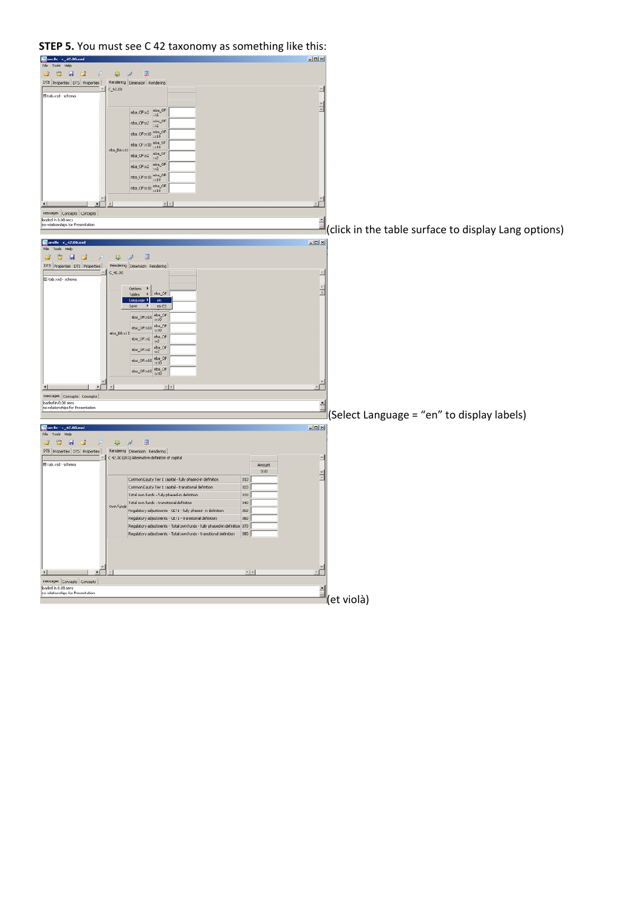#### **STEP 5.** You must see C 42 taxonomy as something like this:<br>**F**a real responsed to the set of the set of the set of the set of the set of the set of the set of the set of the set of the set of the set of the set of the se 8888 . ஓ. ஓ. . ஜ DTS Properties DTS Properties Rendering Dimension Rendering  $\boxed{\begin{tabular}{|c|c|} \hline \quad \quad & \quad \quad & \quad \quad & \quad \quad \\ \hline \quad \quad & \quad \quad & \quad \quad \\ \hline \quad \quad & \quad \quad & \quad \quad \\ \hline \quad \quad & \quad \quad & \quad \quad \\ \hline \quad \quad & \quad \quad & \quad \quad \\ \hline \end{tabular}}$  $\boxed{\mathsf{eba\_OF:} \times 2} \begin{array}{|l|} \mathsf{eba\_OF} \\ \hline \times 2 \end{array}$  $\text{eba\_OF} \text{m2} \begin{array}{|c|} \text{eba\_OF} \\ \text{m2} \end{array}$  $\begin{array}{c} \texttt{eba\_OF}{::}{\times}10 \\ \texttt{ex10} \end{array} \begin{array}{c} \texttt{eba\_OF} \\ \texttt{ex10} \end{array}$  $\overline{\text{eba\_OF:} \times 10} \xrightarrow{\text{eba\_OF}}$  $\frac{e^{1/2} \cdot 10^{10} \cdot 10^{10}}{e^{1/2} \cdot 10^{10}} = \frac{e^{1/2} \cdot 10^{10}}{e^{1/2} \cdot 10^{10}} = \frac{e^{1/2} \cdot 10^{10}}{e^{1/2} \cdot 10^{10}} = 0.$  $\boxed{\mathsf{eba\_OF:} \times 2} \quad \substack{\mathsf{eba\_OF}}{\simeq 2}$  $_{\rm eba\_OFix10}$   $_{\rm ex10}^{\rm eba\_OF}$  $\boxed{\mathsf{eba\_OF}{:}{\mathsf{x10}}\,\mathsf{\overset{\mathsf{eba\_OF}}{:}{\mathsf{x10}}}}$ <u>i e d</u> 国国  $\mathbb{E}$  $\begin{tabular}{|c|c|} \hline messages & Concepts & Concepts \\ \hline \textbf{loaded in 0.08} & sees \\ \hline no relationships for Presidentation \\ \hline \end{tabular}$  $\Box$  (click in the table surface to display Lang options)<br>  $\frac{1}{\text{File}}$ arelle - c\_42.00.xsd<br>File Tools Help Die Contras | Die Contras | Die Contras | Die Contras | Die Contras | Rendering | Die ensisten | Rendering |<br>Die Contras | Die Contras | Rendering | Die ensisten | Rendering | Die ensisten | Rendering | Die ensisten | R El tab.xsd - schema Options  $\rightarrow$   $\left\vert \frac{}{\text{eba\_OF}} \right\vert$  $\boxed{\mathsf{eba\_OF}{::}{x10}}\xrightarrow[11]{\mathsf{eba\_OF}}$  $eba_0F$ :x10 $\frac{eba_0F}{x10}$ eba\_BA:x11  $\begin{array}{|l|}\n\hline\n\text{eba\_OF} & \text{eba\_OF} \\
\hline\n\text{eba\_OF} & \text{pca\_OF}\n\end{array}$  $\frac{1}{100}$  eba\_OF:x10<br> $\frac{100}{100}$  OF  $\left[{\rm eba\_OF}{\rm x10}\right]_{\rm 1X10}^{\rm 100}$  $\frac{1}{\sqrt{2}}$ 1 பி **z[x]** 国  $\begin{tabular}{|c|c|} \hline messages & \texttt{Concepts} & \texttt{Concepts} \\ \hline loaded in 0.08 sets & \texttt{no relationship} for \texttt{Presentation} \\ \hline \end{tabular}$  $\exists$  (Select Language = "en" to display labels)  $\frac{1}{\sqrt{2}}$  arelle - c\_42.00 ssd<br>File Tools Help<br> $\frac{1}{\sqrt{2}}$  +  $\frac{1}{\sqrt{2}}$  +  $\frac{1}{\sqrt{2}}$  +  $\frac{1}{\sqrt{2}}$  $-10 \times$  $\mathcal{Q}=\mathcal{Q}=\mathcal{Q}$ DTS Properties DTS Properties | Rendering | Dimension | Rendering |<br>|- | C 42.00 (LR3) Alternative definition of capital 피 tab.xsd - scheme  $\begin{array}{c} \text{Amount} \\ 010 \end{array}$ Common Equity Tier 1 capital - fully phased-in definitio 010 Common Equity Tier 1 capital - transitional definition<br>Total own funds - fully phased-in definition  $\begin{array}{r} 020 \\ 030 \end{array}$ )<br>Win funds<br>Regulatory adjustments - CET1 - fully phased- in definition 040  $\alpha$ Regulatory adjustments - CET1 - transitional definition 060<br>Regulatory adjustments - Total own funds - fully phased-in definition 070 Regulatory adjustments - Total own funds - transitional definition 080  $\begin{tabular}{|c|c|} \hline \multicolumn{1}{|c|}{\textbf{A}} & & & & \multicolumn{1}{|c|}{\textbf{B}} \\ \hline messages & \multicolumn{1}{|c|}{\textbf{Concepts}} & \multicolumn{1}{|c|}{\textbf{Concepts}} \\ \hline \multicolumn{1}{|c|}{\textbf{Inadd in 0.08 sets}} & & \multicolumn{1}{|c|}{\textbf{Concepts}} \\ \hline \multicolumn{1}{|c|}{\textbf{Inordations}} & \multicolumn{1}{|c|}{\textbf{In}} \\ \hline \multicolumn{1}{|c|}{\textbf{Inordations}} & \multicolumn{1}{|c|$ ي ات **x[x]** r  $\mathbf{E}$ (et violà)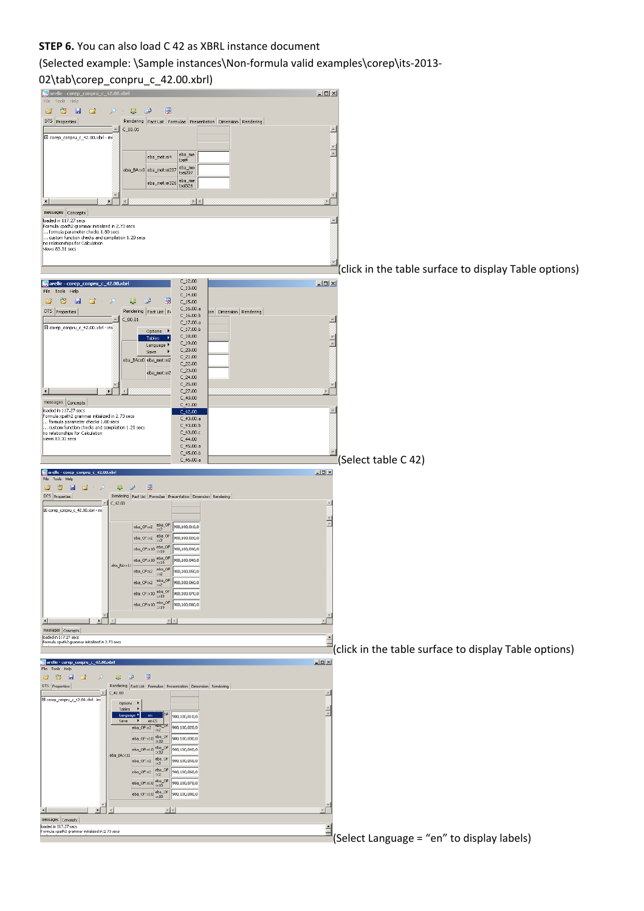## **STEP 6.** You can also load C 42 as XBRL instance document

### (Selected example: \Sample instances\Non‐formula valid examples\corep\its‐2013‐